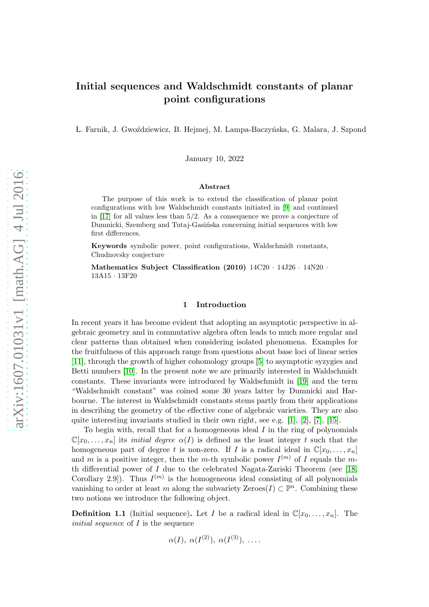# Initial sequences and Waldschmidt constants of planar point configurations

L. Farnik, J. Gwoździewicz, B. Hejmej, M. Lampa-Baczyńska, G. Malara, J. Szpond

January 10, 2022

### Abstract

The purpose of this work is to extend the classification of planar point configurations with low Waldschmidt constants initiated in [\[9\]](#page-9-0) and continued in [\[17\]](#page-10-0) for all values less than 5/2. As a consequence we prove a conjecture of Dumnicki, Szemberg and Tutaj-Gasińska concerning initial sequences with low first differences.

Keywords symbolic power, point configurations, Waldschmidt constants, Chudnovsky conjecture

Mathematics Subject Classification (2010) 14C20 · 14J26 · 14N20 · 13A15 · 13F20

## 1 Introduction

In recent years it has become evident that adopting an asymptotic perspective in algebraic geometry and in commutative algebra often leads to much more regular and clear patterns than obtained when considering isolated phenomena. Examples for the fruitfulness of this approach range from questions about base loci of linear series [\[11\]](#page-9-1), through the growth of higher cohomology groups [\[5\]](#page-9-2) to asymptotic syzygies and Betti numbers [\[10\]](#page-9-3). In the present note we are primarily interested in Waldschmidt constants. These invariants were introduced by Waldschmidt in [\[19\]](#page-10-1) and the term "Waldschmidt constant" was coined some 30 years latter by Dumnicki and Harbourne. The interest in Waldschmidt constants stems partly from their applications in describing the geometry of the effective cone of algebraic varieties. They are also quite interesting invariants studied in their own right, see e.g.  $[1], [2], [7], [15].$  $[1], [2], [7], [15].$  $[1], [2], [7], [15].$  $[1], [2], [7], [15].$  $[1], [2], [7], [15].$  $[1], [2], [7], [15].$  $[1], [2], [7], [15].$ 

To begin with, recall that for a homogeneous ideal  $I$  in the ring of polynomials  $\mathbb{C}[x_0,\ldots,x_n]$  its *initial degree*  $\alpha(I)$  is defined as the least integer t such that the homogeneous part of degree t is non-zero. If I is a radical ideal in  $\mathbb{C}[x_0, \ldots, x_n]$ and m is a positive integer, then the m-th symbolic power  $I^{(m)}$  of I equals the mth differential power of I due to the celebrated Nagata-Zariski Theorem (see [\[18,](#page-10-2) Corollary 2.9]). Thus  $I^{(m)}$  is the homogeneous ideal consisting of all polynomials vanishing to order at least m along the subvariety Zeroes $(I) \subset \mathbb{P}^n$ . Combining these two notions we introduce the following object.

**Definition 1.1** (Initial sequence). Let I be a radical ideal in  $\mathbb{C}[x_0, \ldots, x_n]$ . The *initial sequence* of I is the sequence

$$
\alpha(I), \alpha(I^{(2)}), \alpha(I^{(3)}), \ldots
$$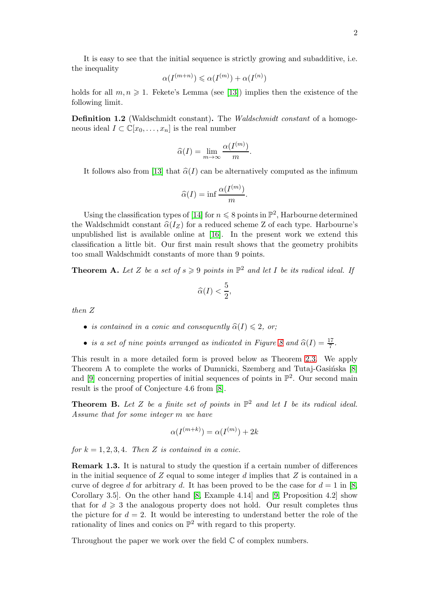It is easy to see that the initial sequence is strictly growing and subadditive, i.e. the inequality

$$
\alpha(I^{(m+n)}) \leqslant \alpha(I^{(m)}) + \alpha(I^{(n)})
$$

holds for all  $m, n \geq 1$ . Fekete's Lemma (see [\[13\]](#page-9-8)) implies then the existence of the following limit.

Definition 1.2 (Waldschmidt constant). The *Waldschmidt constant* of a homogeneous ideal  $I \subset \mathbb{C}[x_0,\ldots,x_n]$  is the real number

$$
\widehat{\alpha}(I) = \lim_{m \to \infty} \frac{\alpha(I^{(m)})}{m}.
$$

It follows also from [\[13\]](#page-9-8) that  $\hat{\alpha}(I)$  can be alternatively computed as the infimum

$$
\widehat{\alpha}(I) = \inf \frac{\alpha(I^{(m)})}{m}.
$$

Using the classification types of [\[14\]](#page-9-9) for  $n \leq 8$  points in  $\mathbb{P}^2$ , Harbourne determined the Waldschmidt constant  $\hat{\alpha}(I_Z)$  for a reduced scheme Z of each type. Harbourne's unpublished list is available online at [\[16\]](#page-9-10). In the present work we extend this classification a little bit. Our first main result shows that the geometry prohibits too small Waldschmidt constants of more than 9 points.

**Theorem A.** Let Z be a set of  $s \geq 9$  points in  $\mathbb{P}^2$  and let I be its radical ideal. If

$$
\widehat{\alpha}(I) < \frac{5}{2},
$$

*then* Z

- *is contained in a conic and consequently*  $\hat{\alpha}(I) \leq 2$ , *or*;
- *is a set of nine points arranged as indicated in Figure [8](#page-5-0) and*  $\hat{\alpha}(I) = \frac{17}{7}$ .

This result in a more detailed form is proved below as Theorem [2.3.](#page-2-0) We apply Theorem A to complete the works of Dumnicki, Szemberg and Tutaj-Gasińska [\[8\]](#page-9-11) and  $[9]$  concerning properties of initial sequences of points in  $\mathbb{P}^2$ . Our second main result is the proof of Conjecture 4.6 from [\[8\]](#page-9-11).

**Theorem B.** Let Z be a finite set of points in  $\mathbb{P}^2$  and let I be its radical ideal. *Assume that for some integer* m *we have*

$$
\alpha(I^{(m+k)}) = \alpha(I^{(m)}) + 2k
$$

*for*  $k = 1, 2, 3, 4$ *. Then* Z *is contained in a conic.* 

Remark 1.3. It is natural to study the question if a certain number of differences in the initial sequence of  $Z$  equal to some integer  $d$  implies that  $Z$  is contained in a curve of degree d for arbitrary d. It has been proved to be the case for  $d = 1$  in [\[8,](#page-9-11)] Corollary 3.5. On the other hand  $[8, Example 4.14]$  and  $[9, Proposition 4.2]$  show that for  $d \geq 3$  the analogous property does not hold. Our result completes thus the picture for  $d = 2$ . It would be interesting to understand better the role of the rationality of lines and conics on  $\mathbb{P}^2$  with regard to this property.

Throughout the paper we work over the field  $\mathbb C$  of complex numbers.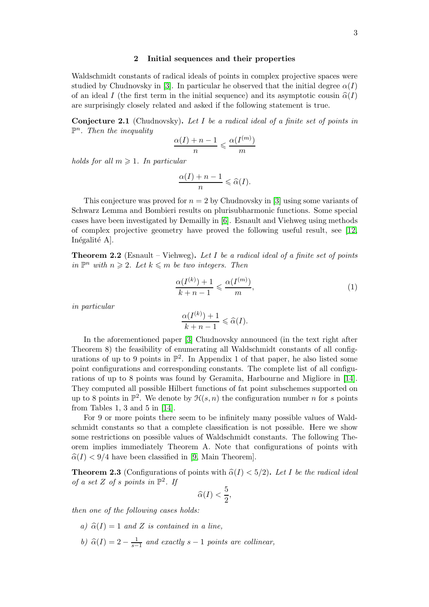## 2 Initial sequences and their properties

Waldschmidt constants of radical ideals of points in complex projective spaces were studied by Chudnovsky in [\[3\]](#page-9-12). In particular he observed that the initial degree  $\alpha(I)$ of an ideal I (the first term in the initial sequence) and its asymptotic cousin  $\hat{\alpha}(I)$ are surprisingly closely related and asked if the following statement is true.

Conjecture 2.1 (Chudnovsky). *Let* I *be a radical ideal of a finite set of points in* P n *. Then the inequality*

$$
\frac{\alpha(I) + n - 1}{n} \leqslant \frac{\alpha(I^{(m)})}{m}
$$

*holds for all*  $m \geq 1$ *. In particular* 

$$
\frac{\alpha(I)+n-1}{n}\leqslant \widehat{\alpha}(I).
$$

This conjecture was proved for  $n = 2$  by Chudnovsky in [\[3\]](#page-9-12) using some variants of Schwarz Lemma and Bombieri results on plurisubharmonic functions. Some special cases have been investigated by Demailly in [\[6\]](#page-9-13). Esnault and Viehweg using methods of complex projective geometry have proved the following useful result, see [\[12,](#page-9-14) Inégalité A.

Theorem 2.2 (Esnault – Viehweg). *Let* I *be a radical ideal of a finite set of points*  $\lim_{n \to \infty} P^n$  *with*  $n \geq 2$ . Let  $k \leq m$  be two integers. Then

<span id="page-2-1"></span>
$$
\frac{\alpha(I^{(k)}) + 1}{k + n - 1} \leq \frac{\alpha(I^{(m)})}{m},\tag{1}
$$

*in particular*

$$
\frac{\alpha(I^{(k)})+1}{k+n-1}\leqslant \widehat{\alpha}(I).
$$

In the aforementioned paper [\[3\]](#page-9-12) Chudnovsky announced (in the text right after Theorem 8) the feasibility of enumerating all Waldschmidt constants of all configurations of up to 9 points in  $\mathbb{P}^2$ . In Appendix 1 of that paper, he also listed some point configurations and corresponding constants. The complete list of all configurations of up to 8 points was found by Geramita, Harbourne and Migliore in [\[14\]](#page-9-9). They computed all possible Hilbert functions of fat point subschemes supported on up to 8 points in  $\mathbb{P}^2$ . We denote by  $\mathcal{H}(s,n)$  the configuration number n for s points from Tables 1, 3 and 5 in [\[14\]](#page-9-9).

For 9 or more points there seem to be infinitely many possible values of Waldschmidt constants so that a complete classification is not possible. Here we show some restrictions on possible values of Waldschmidt constants. The following Theorem implies immediately Theorem A. Note that configurations of points with  $\hat{\alpha}(I) < 9/4$  have been classified in [\[9,](#page-9-0) Main Theorem].

<span id="page-2-0"></span>**Theorem 2.3** (Configurations of points with  $\hat{\alpha}(I) < 5/2$ ). Let I be the radical ideal *of a set*  $Z$  *of s points in*  $\mathbb{P}^2$ *. If* 

$$
\widehat{\alpha}(I) < \frac{5}{2},
$$

*then one of the following cases holds:*

- *a)*  $\hat{\alpha}(I) = 1$  *and* Z *is contained in a line*,
- *b*)  $\hat{\alpha}(I) = 2 \frac{1}{s-1}$  and exactly  $s 1$  points are collinear,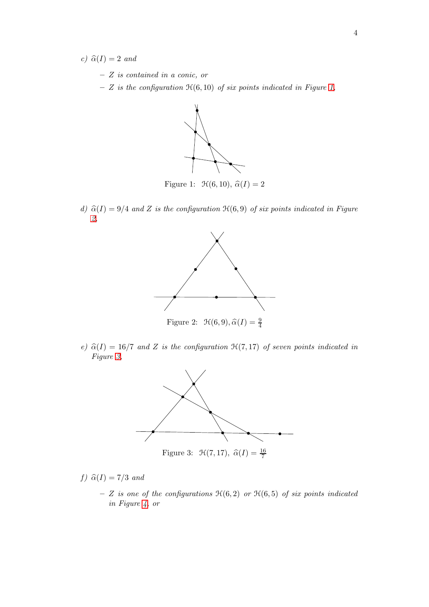*c)*  $\widehat{\alpha}(I) = 2$  *and* 

- Z *is contained in a conic, or*
- <span id="page-3-0"></span>– Z *is the configuration* H(6, 10) *of six points indicated in Figure [1,](#page-3-0)*



Figure 1:  $\mathcal{H}(6, 10), \hat{\alpha}(I) = 2$ 

<span id="page-3-1"></span>*d)*  $\hat{\alpha}(I) = 9/4$  *and* Z *is the configuration*  $\mathcal{H}(6, 9)$  *of six points indicated in Figure [2,](#page-3-1)*



<span id="page-3-2"></span>*e)*  $\hat{\alpha}(I) = 16/7$  *and* Z *is the configuration*  $\mathcal{H}(7, 17)$  *of seven points indicated in Figure [3,](#page-3-2)*



Figure 3:  $\mathcal{H}(7, 17), \ \hat{\alpha}(I) = \frac{16}{7}$ 

*f*)  $\widehat{\alpha}(I) = 7/3$  *and* 

 $- Z$  *is one of the configurations*  $H(6, 2)$  *or*  $H(6, 5)$  *of six points indicated in Figure [4,](#page-4-0) or*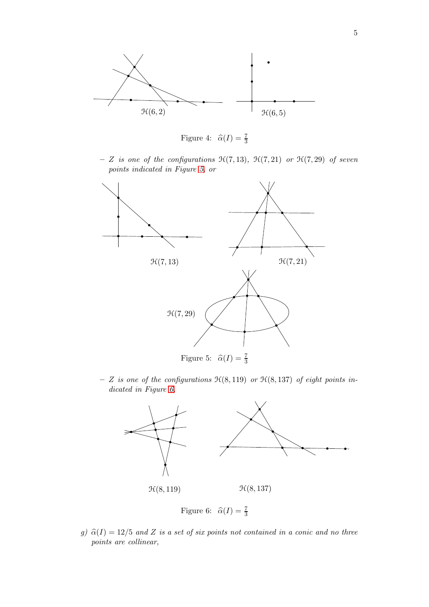<span id="page-4-0"></span>

Figure 4:  $\hat{\alpha}(I) = \frac{7}{3}$ 

 $- Z$  *is one of the configurations*  $\mathcal{H}(7, 13)$ *,*  $\mathcal{H}(7, 21)$  *or*  $\mathcal{H}(7, 29)$  *of seven points indicated in Figure [5,](#page-4-1) or*

<span id="page-4-1"></span>

<span id="page-4-2"></span>– Z *is one of the configurations* H(8, 119) *or* H(8, 137) *of eight points indicated in Figure [6,](#page-4-2)*



Figure 6:  $\hat{\alpha}(I) = \frac{7}{3}$ 

*g)*  $\hat{\alpha}(I) = 12/5$  *and* Z *is a set of six points not contained in a conic and no three points are collinear,*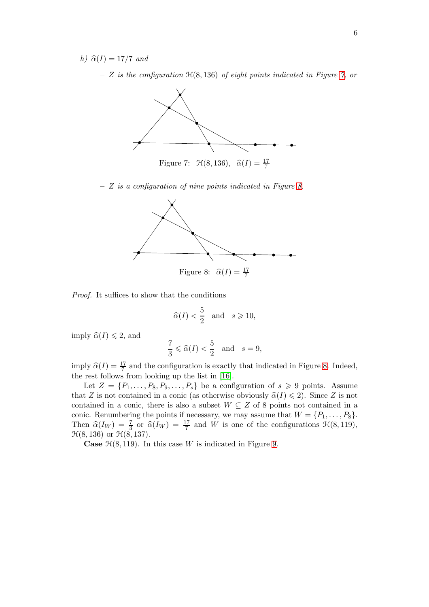<span id="page-5-1"></span>*h)*  $\hat{\alpha}(I) = 17/7$  *and* 

– Z *is the configuration* H(8, 136) *of eight points indicated in Figure [7,](#page-5-1) or*



<span id="page-5-0"></span>– Z *is a configuration of nine points indicated in Figure [8.](#page-5-0)*



*Proof.* It suffices to show that the conditions

$$
\widehat{\alpha}(I) < \frac{5}{2} \quad \text{and} \quad s \geqslant 10,
$$

imply  $\widehat{\alpha}(I) \leq 2$ , and

$$
\frac{7}{3} \leqslant \widehat{\alpha}(I) < \frac{5}{2} \quad \text{and} \quad s = 9,
$$

imply  $\widehat{\alpha}(I) = \frac{17}{7}$  and the configuration is exactly that indicated in Figure [8.](#page-5-0) Indeed, the rest follows from looking up the list in [\[16\]](#page-9-10).

Let  $Z = \{P_1, \ldots, P_8, P_9, \ldots, P_s\}$  be a configuration of  $s \geq 9$  points. Assume that Z is not contained in a conic (as otherwise obviously  $\hat{\alpha}(I) \leq 2$ ). Since Z is not contained in a conic, there is also a subset  $W \subseteq Z$  of 8 points not contained in a conic. Renumbering the points if necessary, we may assume that  $W = \{P_1, \ldots, P_8\}.$ Then  $\hat{\alpha}(I_W) = \frac{7}{3}$  or  $\hat{\alpha}(I_W) = \frac{17}{7}$  and W is one of the configurations  $\mathcal{H}(8, 119)$ ,  $\mathcal{H}(8, 136)$  or  $\mathcal{H}(8, 137)$ .

**Case**  $\mathcal{H}(8, 119)$ . In this case W is indicated in Figure [9.](#page-6-0)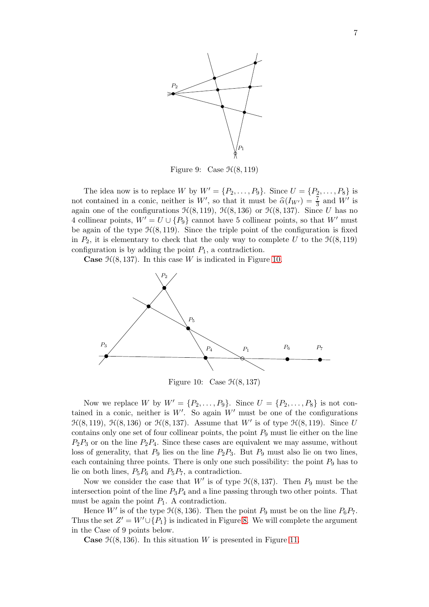<span id="page-6-0"></span>

Figure 9: Case  $\mathcal{H}(8, 119)$ 

The idea now is to replace W by  $W' = \{P_2, \ldots, P_9\}$ . Since  $U = \{P_2, \ldots, P_8\}$  is not contained in a conic, neither is  $W'$ , so that it must be  $\hat{\alpha}(I_{W'}) = \frac{7}{3}$  and  $W'$  is again one of the configurations  $\mathcal{H}(8, 119)$ ,  $\mathcal{H}(8, 136)$  or  $\mathcal{H}(8, 137)$ . Since U has no 4 collinear points,  $W' = U \cup \{P_9\}$  cannot have 5 collinear points, so that W' must be again of the type  $\mathcal{H}(8, 119)$ . Since the triple point of the configuration is fixed in  $P_2$ , it is elementary to check that the only way to complete U to the  $\mathcal{H}(8, 119)$ configuration is by adding the point  $P_1$ , a contradiction.

<span id="page-6-1"></span>**Case**  $\mathcal{H}(8, 137)$ . In this case W is indicated in Figure [10.](#page-6-1)



Figure 10: Case  $\mathcal{H}(8, 137)$ 

Now we replace W by  $W' = \{P_2, ..., P_9\}$ . Since  $U = \{P_2, ..., P_8\}$  is not contained in a conic, neither is  $W'$ . So again  $W'$  must be one of the configurations  $\mathfrak{H}(8, 119)$ ,  $\mathfrak{H}(8, 136)$  or  $\mathfrak{H}(8, 137)$ . Assume that W' is of type  $\mathfrak{H}(8, 119)$ . Since U contains only one set of four collinear points, the point  $P_9$  must lie either on the line  $P_2P_3$  or on the line  $P_2P_4$ . Since these cases are equivalent we may assume, without loss of generality, that  $P_9$  lies on the line  $P_2P_3$ . But  $P_9$  must also lie on two lines, each containing three points. There is only one such possibility: the point  $P_9$  has to lie on both lines,  $P_5P_6$  and  $P_5P_7$ , a contradiction.

Now we consider the case that  $W'$  is of type  $\mathcal{H}(8, 137)$ . Then  $P_9$  must be the intersection point of the line  $P_3P_4$  and a line passing through two other points. That must be again the point  $P_1$ . A contradiction.

Hence  $W'$  is of the type  $\mathcal{H}(8, 136)$ . Then the point  $P_9$  must be on the line  $P_6P_7$ . Thus the set  $Z' = W' \cup \{P_1\}$  is indicated in Figure [8.](#page-5-0) We will complete the argument in the Case of 9 points below.

**Case**  $\mathcal{H}(8, 136)$ . In this situation W is presented in Figure [11.](#page-7-0)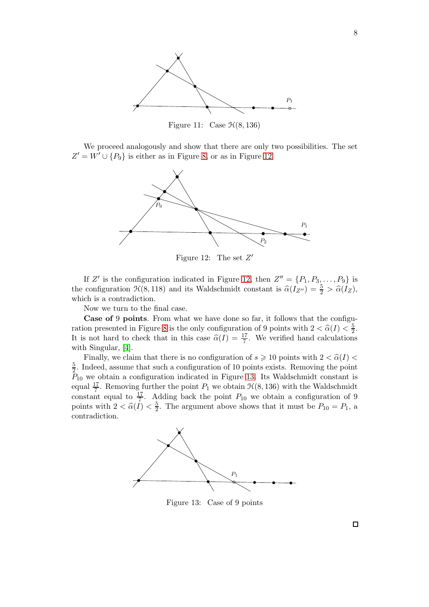<span id="page-7-0"></span>

Figure 11: Case  $\mathcal{H}(8, 136)$ 

<span id="page-7-1"></span>We proceed analogously and show that there are only two possibilities. The set  $Z' = W' \cup \{P_9\}$  is either as in Figure [8,](#page-5-0) or as in Figure [12.](#page-7-1)



Figure 12: The set  $Z'$ 

If Z' is the configuration indicated in Figure [12,](#page-7-1) then  $Z'' = \{P_1, P_3, \ldots, P_9\}$  is the configuration  $\mathcal{H}(8, 118)$  and its Waldschmidt constant is  $\hat{\alpha}(I_{Z''}) = \frac{5}{2} > \hat{\alpha}(I_Z)$ , which is a contradiction.

Now we turn to the final case.

Case of 9 points. From what we have done so far, it follows that the configu-ration presented in Figure [8](#page-5-0) is the only configuration of 9 points with  $2 < \hat{\alpha}(I) < \frac{5}{2}$  $\frac{5}{2}$ . It is not hard to check that in this case  $\hat{\alpha}(I) = \frac{17}{7}$ . We verified hand calculations with Singular, [\[4\]](#page-9-15).

Finally, we claim that there is no configuration of  $s \geqslant 10$  points with  $2 < \hat{\alpha}(I) <$ 5  $\frac{5}{2}$ . Indeed, assume that such a configuration of 10 points exists. Removing the point  $P_{10}$  we obtain a configuration indicated in Figure [13.](#page-7-2) Its Waldschmidt constant is equal  $\frac{17}{7}$ . Removing further the point  $P_1$  we obtain  $\mathcal{H}(8, 136)$  with the Waldschmidt constant equal to  $\frac{17}{7}$ . Adding back the point  $P_{10}$  we obtain a configuration of 9 points with  $2 < \widehat{\alpha}(I) < \frac{5}{2}$  $\frac{5}{2}$ . The argument above shows that it must be  $P_{10} = P_1$ , a contradiction.

<span id="page-7-2"></span>

Figure 13: Case of 9 points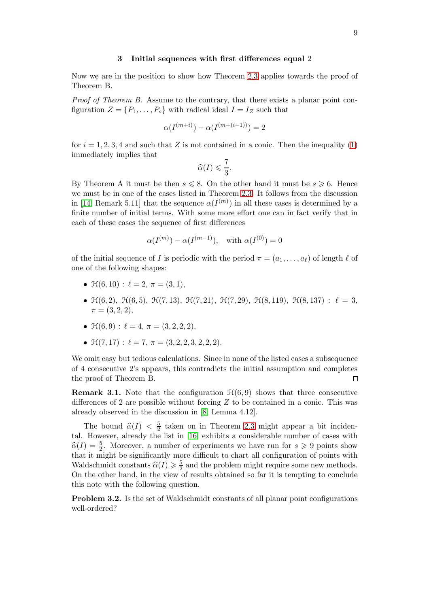#### 3 Initial sequences with first differences equal 2

Now we are in the position to show how Theorem [2.3](#page-2-0) applies towards the proof of Theorem B.

*Proof of Theorem B.* Assume to the contrary, that there exists a planar point configuration  $Z = \{P_1, \ldots, P_s\}$  with radical ideal  $I = I_Z$  such that

$$
\alpha(I^{(m+i)}) - \alpha(I^{(m+(i-1))}) = 2
$$

for  $i = 1, 2, 3, 4$  and such that Z is not contained in a conic. Then the inequality [\(1\)](#page-2-1) immediately implies that

$$
\widehat{\alpha}(I) \leqslant \frac{7}{3}.
$$

By Theorem A it must be then  $s \leq 8$ . On the other hand it must be  $s \geq 6$ . Hence we must be in one of the cases listed in Theorem [2.3.](#page-2-0) It follows from the discussion in [\[14,](#page-9-9) Remark 5.11] that the sequence  $\alpha(I^{(m)})$  in all these cases is determined by a finite number of initial terms. With some more effort one can in fact verify that in each of these cases the sequence of first differences

$$
\alpha(I^{(m)}) - \alpha(I^{(m-1)}),
$$
 with  $\alpha(I^{(0)}) = 0$ 

of the initial sequence of I is periodic with the period  $\pi = (a_1, \ldots, a_\ell)$  of length  $\ell$  of one of the following shapes:

- $\mathcal{H}(6, 10)$ :  $\ell = 2, \pi = (3, 1),$
- $\mathcal{H}(6, 2)$ ,  $\mathcal{H}(6, 5)$ ,  $\mathcal{H}(7, 13)$ ,  $\mathcal{H}(7, 21)$ ,  $\mathcal{H}(7, 29)$ ,  $\mathcal{H}(8, 119)$ ,  $\mathcal{H}(8, 137)$ :  $\ell = 3$ ,  $\pi = (3, 2, 2),$
- $\mathcal{H}(6,9)$ :  $\ell = 4$ ,  $\pi = (3,2,2,2)$ ,
- $\mathcal{H}(7, 17) : \ell = 7, \pi = (3, 2, 2, 3, 2, 2, 2).$

We omit easy but tedious calculations. Since in none of the listed cases a subsequence of 4 consecutive 2's appears, this contradicts the initial assumption and completes the proof of Theorem B.  $\Box$ 

**Remark 3.1.** Note that the configuration  $\mathcal{H}(6,9)$  shows that three consecutive differences of 2 are possible without forcing  $Z$  to be contained in a conic. This was already observed in the discussion in [\[8,](#page-9-11) Lemma 4.12].

The bound  $\hat{\alpha}(I) < \frac{5}{2}$  taken on in Theorem [2.3](#page-2-0) might appear a bit incidental. However, already the list in [\[16\]](#page-9-10) exhibits a considerable number of cases with  $\widehat{\alpha}(I) = \frac{5}{2}$ . Moreover, a number of experiments we have run for  $s \geq 9$  points show that it might be significantly more difficult to chart all configuration of points with Waldschmidt constants  $\widehat{\alpha}(I) \geq \frac{5}{2}$  $\frac{5}{2}$  and the problem might require some new methods. On the other hand, in the view of results obtained so far it is tempting to conclude this note with the following question.

Problem 3.2. Is the set of Waldschmidt constants of all planar point configurations well-ordered?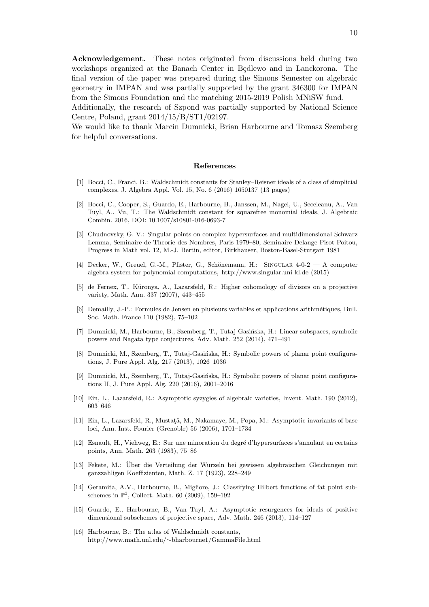Acknowledgement. These notes originated from discussions held during two workshops organized at the Banach Center in Bedlewo and in Lanckorona. The final version of the paper was prepared during the Simons Semester on algebraic geometry in IMPAN and was partially supported by the grant 346300 for IMPAN from the Simons Foundation and the matching 2015-2019 Polish MNiSW fund.

Additionally, the research of Szpond was partially supported by National Science Centre, Poland, grant 2014/15/B/ST1/02197.

We would like to thank Marcin Dumnicki, Brian Harbourne and Tomasz Szemberg for helpful conversations.

#### References

- <span id="page-9-4"></span>[1] Bocci, C., Franci, B.: Waldschmidt constants for Stanley–Reisner ideals of a class of simplicial complexes, J. Algebra Appl. Vol. 15, No. 6 (2016) 1650137 (13 pages)
- <span id="page-9-5"></span>[2] Bocci, C., Cooper, S., Guardo, E., Harbourne, B., Janssen, M., Nagel, U., Seceleanu, A., Van Tuyl, A., Vu, T.: The Waldschmidt constant for squarefree monomial ideals, J. Algebraic Combin. 2016, DOI: 10.1007/s10801-016-0693-7
- <span id="page-9-12"></span>[3] Chudnovsky, G. V.: Singular points on complex hypersurfaces and multidimensional Schwarz Lemma, Seminaire de Theorie des Nombres, Paris 1979–80, Seminaire Delange-Pisot-Poitou, Progress in Math vol. 12, M.-J. Bertin, editor, Birkhauser, Boston-Basel-Stutgart 1981
- <span id="page-9-15"></span>[4] Decker, W., Greuel, G.-M., Pfister, G., Schönemann, H.: SINGULAR 4-0-2 — A computer algebra system for polynomial computations, http://www.singular.uni-kl.de (2015)
- <span id="page-9-2"></span>[5] de Fernex, T., Küronya, A., Lazarsfeld, R.: Higher cohomology of divisors on a projective variety, Math. Ann. 337 (2007), 443–455
- <span id="page-9-13"></span>[6] Demailly, J.-P.: Formules de Jensen en plusieurs variables et applications arithm´etiques, Bull. Soc. Math. France 110 (1982), 75–102
- <span id="page-9-6"></span>[7] Dumnicki, M., Harbourne, B., Szemberg, T., Tutaj-Gasińska, H.: Linear subspaces, symbolic powers and Nagata type conjectures, Adv. Math. 252 (2014), 471–491
- <span id="page-9-11"></span>[8] Dumnicki, M., Szemberg, T., Tutaj-Gasińska, H.: Symbolic powers of planar point configurations, J. Pure Appl. Alg. 217 (2013), 1026–1036
- <span id="page-9-0"></span>[9] Dumnicki, M., Szemberg, T., Tutaj-Gasińska, H.: Symbolic powers of planar point configurations II, J. Pure Appl. Alg. 220 (2016), 2001–2016
- <span id="page-9-3"></span>[10] Ein, L., Lazarsfeld, R.: Asymptotic syzygies of algebraic varieties, Invent. Math. 190 (2012), 603–646
- <span id="page-9-1"></span>[11] Ein, L., Lazarsfeld, R., Mustată, M., Nakamaye, M., Popa, M.: Asymptotic invariants of base loci, Ann. Inst. Fourier (Grenoble) 56 (2006), 1701–1734
- <span id="page-9-14"></span>[12] Esnault, H., Viehweg, E.: Sur une minoration du degré d'hypersurfaces s'annulant en certains points, Ann. Math. 263 (1983), 75–86
- <span id="page-9-8"></span>[13] Fekete, M.: Über die Verteilung der Wurzeln bei gewissen algebraischen Gleichungen mit ganzzahligen Koeffizienten, Math. Z. 17 (1923), 228–249
- <span id="page-9-9"></span>[14] Geramita, A.V., Harbourne, B., Migliore, J.: Classifying Hilbert functions of fat point subschemes in  $\mathbb{P}^2$ , Collect. Math. 60 (2009), 159-192
- <span id="page-9-7"></span>[15] Guardo, E., Harbourne, B., Van Tuyl, A.: Asymptotic resurgences for ideals of positive dimensional subschemes of projective space, Adv. Math. 246 (2013), 114–127
- <span id="page-9-10"></span>[16] Harbourne, B.: The atlas of Waldschmidt constants, http://www.math.unl.edu/∼bharbourne1/GammaFile.html